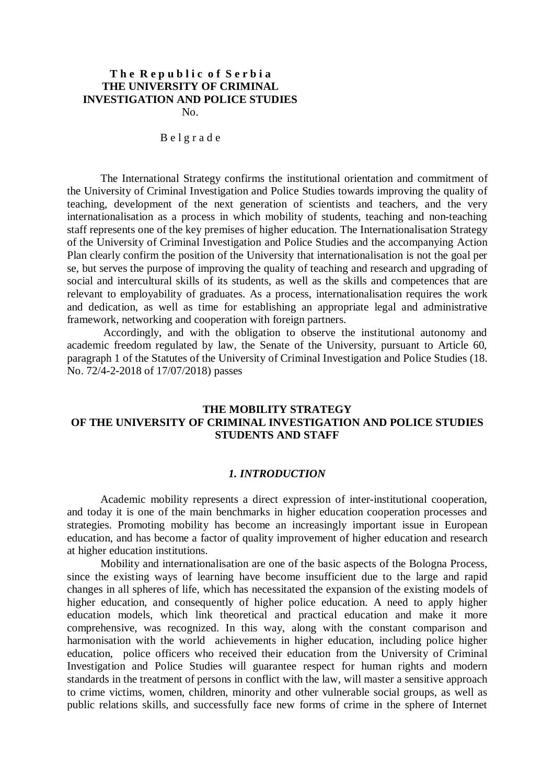# **T h e R e p u b l i c o f S e r b i a THE UNIVERSITY OF CRIMINAL INVESTIGATION AND POLICE STUDIES**

No.

#### B e l g r a d e

The International Strategy confirms the institutional orientation and commitment of the University of Criminal Investigation and Police Studies towards improving the quality of teaching, development of the next generation of scientists and teachers, and the very internationalisation as a process in which mobility of students, teaching and non-teaching staff represents one of the key premises of higher education. The Internationalisation Strategy of the University of Criminal Investigation and Police Studies and the accompanying Action Plan clearly confirm the position of the University that internationalisation is not the goal per se, but serves the purpose of improving the quality of teaching and research and upgrading of social and intercultural skills of its students, as well as the skills and competences that are relevant to employability of graduates. As a process, internationalisation requires the work and dedication, as well as time for establishing an appropriate legal and administrative framework, networking and cooperation with foreign partners.

Accordingly, and with the obligation to observe the institutional autonomy and academic freedom regulated by law, the Senate of the University, pursuant to Article 60, paragraph 1 of the Statutes of the University of Criminal Investigation and Police Studies (18. No. 72/4-2-2018 of 17/07/2018) passes

# **THE MOBILITY STRATEGY OF THE UNIVERSITY OF CRIMINAL INVESTIGATION AND POLICE STUDIES STUDENTS AND STAFF**

### *1. INTRODUCTION*

Academic mobility represents a direct expression of inter-institutional cooperation, and today it is one of the main benchmarks in higher education cooperation processes and strategies. Promoting mobility has become an increasingly important issue in European education, and has become a factor of quality improvement of higher education and research at higher education institutions.

Mobility and internationalisation are one of the basic aspects of the Bologna Process, since the existing ways of learning have become insufficient due to the large and rapid changes in all spheres of life, which has necessitated the expansion of the existing models of higher education, and consequently of higher police education. A need to apply higher education models, which link theoretical and practical education and make it more comprehensive, was recognized. In this way, along with the constant comparison and harmonisation with the world achievements in higher education, including police higher education, police officers who received their education from the University of Criminal Investigation and Police Studies will guarantee respect for human rights and modern standards in the treatment of persons in conflict with the law, will master a sensitive approach to crime victims, women, children, minority and other vulnerable social groups, as well as public relations skills, and successfully face new forms of crime in the sphere of Internet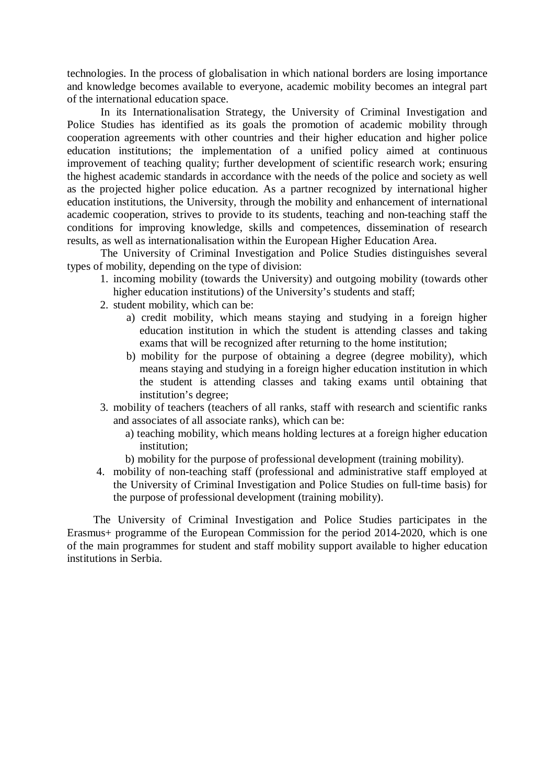technologies. In the process of globalisation in which national borders are losing importance and knowledge becomes available to everyone, academic mobility becomes an integral part of the international education space.

In its Internationalisation Strategy, the University of Criminal Investigation and Police Studies has identified as its goals the promotion of academic mobility through cooperation agreements with other countries and their higher education and higher police education institutions; the implementation of a unified policy aimed at continuous improvement of teaching quality; further development of scientific research work; ensuring the highest academic standards in accordance with the needs of the police and society as well as the projected higher police education. As a partner recognized by international higher education institutions, the University, through the mobility and enhancement of international academic cooperation, strives to provide to its students, teaching and non-teaching staff the conditions for improving knowledge, skills and competences, dissemination of research results, as well as internationalisation within the European Higher Education Area.

The University of Criminal Investigation and Police Studies distinguishes several types of mobility, depending on the type of division:

- 1. incoming mobility (towards the University) and outgoing mobility (towards other higher education institutions) of the University's students and staff:
- 2. student mobility, which can be:
	- a) credit mobility, which means staying and studying in a foreign higher education institution in which the student is attending classes and taking exams that will be recognized after returning to the home institution;
	- b) mobility for the purpose of obtaining a degree (degree mobility), which means staying and studying in a foreign higher education institution in which the student is attending classes and taking exams until obtaining that institution's degree;
- 3. mobility of teachers (teachers of all ranks, staff with research and scientific ranks and associates of all associate ranks), which can be:
	- a) teaching mobility, which means holding lectures at a foreign higher education institution;
	- b) mobility for the purpose of professional development (training mobility).
- 4. mobility of non-teaching staff (professional and administrative staff employed at the University of Criminal Investigation and Police Studies on full-time basis) for the purpose of professional development (training mobility).

The University of Criminal Investigation and Police Studies participates in the Erasmus+ programme of the European Commission for the period 2014-2020, which is one of the main programmes for student and staff mobility support available to higher education institutions in Serbia.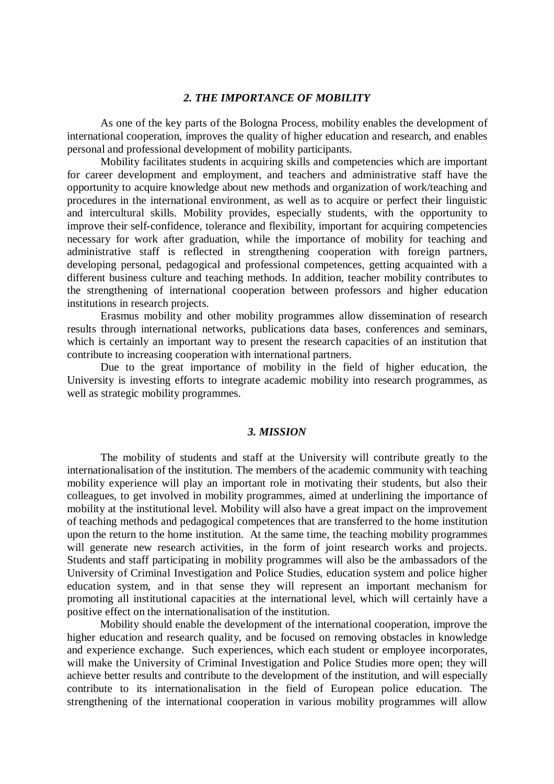## *2. THE IMPORTANCE OF MOBILITY*

As one of the key parts of the Bologna Process, mobility enables the development of international cooperation, improves the quality of higher education and research, and enables personal and professional development of mobility participants.

Mobility facilitates students in acquiring skills and competencies which are important for career development and employment, and teachers and administrative staff have the opportunity to acquire knowledge about new methods and organization of work/teaching and procedures in the international environment, as well as to acquire or perfect their linguistic and intercultural skills. Mobility provides, especially students, with the opportunity to improve their self-confidence, tolerance and flexibility, important for acquiring competencies necessary for work after graduation, while the importance of mobility for teaching and administrative staff is reflected in strengthening cooperation with foreign partners, developing personal, pedagogical and professional competences, getting acquainted with a different business culture and teaching methods. In addition, teacher mobility contributes to the strengthening of international cooperation between professors and higher education institutions in research projects.

Erasmus mobility and other mobility programmes allow dissemination of research results through international networks, publications data bases, conferences and seminars, which is certainly an important way to present the research capacities of an institution that contribute to increasing cooperation with international partners.

Due to the great importance of mobility in the field of higher education, the University is investing efforts to integrate academic mobility into research programmes, as well as strategic mobility programmes.

#### *3. MISSION*

The mobility of students and staff at the University will contribute greatly to the internationalisation of the institution. The members of the academic community with teaching mobility experience will play an important role in motivating their students, but also their colleagues, to get involved in mobility programmes, aimed at underlining the importance of mobility at the institutional level. Mobility will also have a great impact on the improvement of teaching methods and pedagogical competences that are transferred to the home institution upon the return to the home institution. At the same time, the teaching mobility programmes will generate new research activities, in the form of joint research works and projects. Students and staff participating in mobility programmes will also be the ambassadors of the University of Criminal Investigation and Police Studies, education system and police higher education system, and in that sense they will represent an important mechanism for promoting all institutional capacities at the international level, which will certainly have a positive effect on the internationalisation of the institution.

Mobility should enable the development of the international cooperation, improve the higher education and research quality, and be focused on removing obstacles in knowledge and experience exchange. Such experiences, which each student or employee incorporates, will make the University of Criminal Investigation and Police Studies more open; they will achieve better results and contribute to the development of the institution, and will especially contribute to its internationalisation in the field of European police education. The strengthening of the international cooperation in various mobility programmes will allow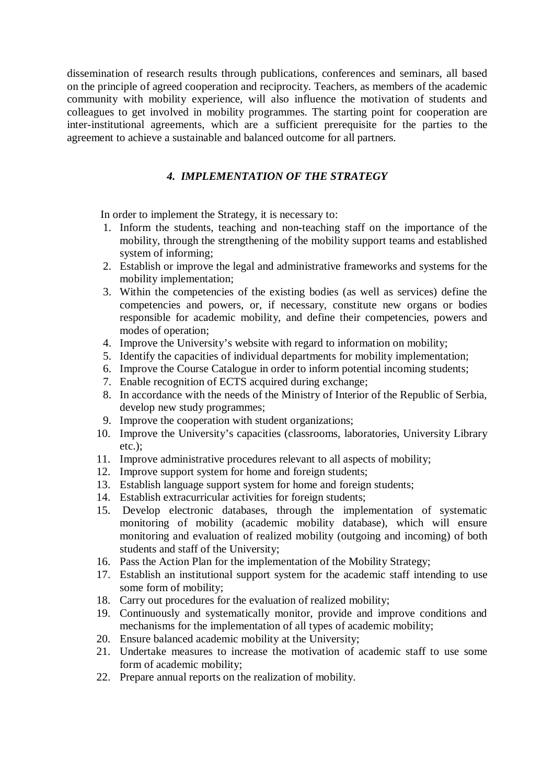dissemination of research results through publications, conferences and seminars, all based on the principle of agreed cooperation and reciprocity. Teachers, as members of the academic community with mobility experience, will also influence the motivation of students and colleagues to get involved in mobility programmes. The starting point for cooperation are inter-institutional agreements, which are a sufficient prerequisite for the parties to the agreement to achieve a sustainable and balanced outcome for all partners.

# *4. IMPLEMENTATION OF THE STRATEGY*

In order to implement the Strategy, it is necessary to:

- 1. Inform the students, teaching and non-teaching staff on the importance of the mobility, through the strengthening of the mobility support teams and established system of informing;
- 2. Establish or improve the legal and administrative frameworks and systems for the mobility implementation;
- 3. Within the competencies of the existing bodies (as well as services) define the competencies and powers, or, if necessary, constitute new organs or bodies responsible for academic mobility, and define their competencies, powers and modes of operation;
- 4. Improve the University's website with regard to information on mobility;
- 5. Identify the capacities of individual departments for mobility implementation;
- 6. Improve the Course Catalogue in order to inform potential incoming students;
- 7. Enable recognition of ECTS acquired during exchange;
- 8. In accordance with the needs of the Ministry of Interior of the Republic of Serbia, develop new study programmes;
- 9. Improve the cooperation with student organizations;
- 10. Improve the University's capacities (classrooms, laboratories, University Library etc.);
- 11. Improve administrative procedures relevant to all aspects of mobility;
- 12. Improve support system for home and foreign students;
- 13. Establish language support system for home and foreign students;
- 14. Establish extracurricular activities for foreign students;
- 15. Develop electronic databases, through the implementation of systematic monitoring of mobility (academic mobility database), which will ensure monitoring and evaluation of realized mobility (outgoing and incoming) of both students and staff of the University;
- 16. Pass the Action Plan for the implementation of the Mobility Strategy;
- 17. Establish an institutional support system for the academic staff intending to use some form of mobility;
- 18. Carry out procedures for the evaluation of realized mobility;
- 19. Continuously and systematically monitor, provide and improve conditions and mechanisms for the implementation of all types of academic mobility;
- 20. Ensure balanced academic mobility at the University;
- 21. Undertake measures to increase the motivation of academic staff to use some form of academic mobility;
- 22. Prepare annual reports on the realization of mobility.